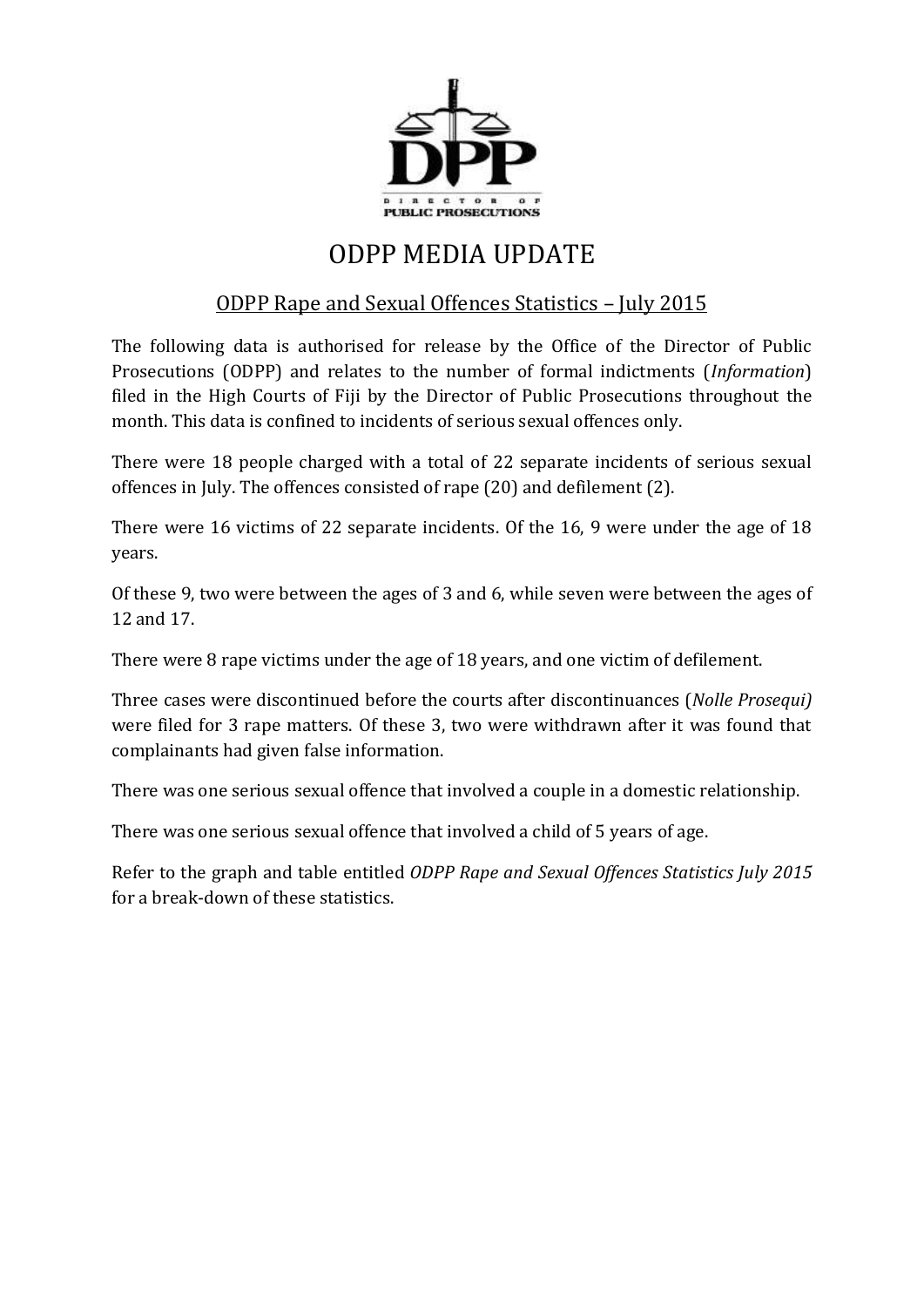

## ODPP MEDIA UPDATE

## ODPP Rape and Sexual Offences Statistics – July 2015

The following data is authorised for release by the Office of the Director of Public Prosecutions (ODPP) and relates to the number of formal indictments (*Information*) filed in the High Courts of Fiji by the Director of Public Prosecutions throughout the month. This data is confined to incidents of serious sexual offences only.

There were 18 people charged with a total of 22 separate incidents of serious sexual offences in July. The offences consisted of rape (20) and defilement (2).

There were 16 victims of 22 separate incidents. Of the 16, 9 were under the age of 18 years.

Of these 9, two were between the ages of 3 and 6, while seven were between the ages of 12 and 17.

There were 8 rape victims under the age of 18 years, and one victim of defilement.

Three cases were discontinued before the courts after discontinuances (*Nolle Prosequi)* were filed for 3 rape matters. Of these 3, two were withdrawn after it was found that complainants had given false information.

There was one serious sexual offence that involved a couple in a domestic relationship.

There was one serious sexual offence that involved a child of 5 years of age.

Refer to the graph and table entitled *ODPP Rape and Sexual Offences Statistics July 2015* for a break-down of these statistics.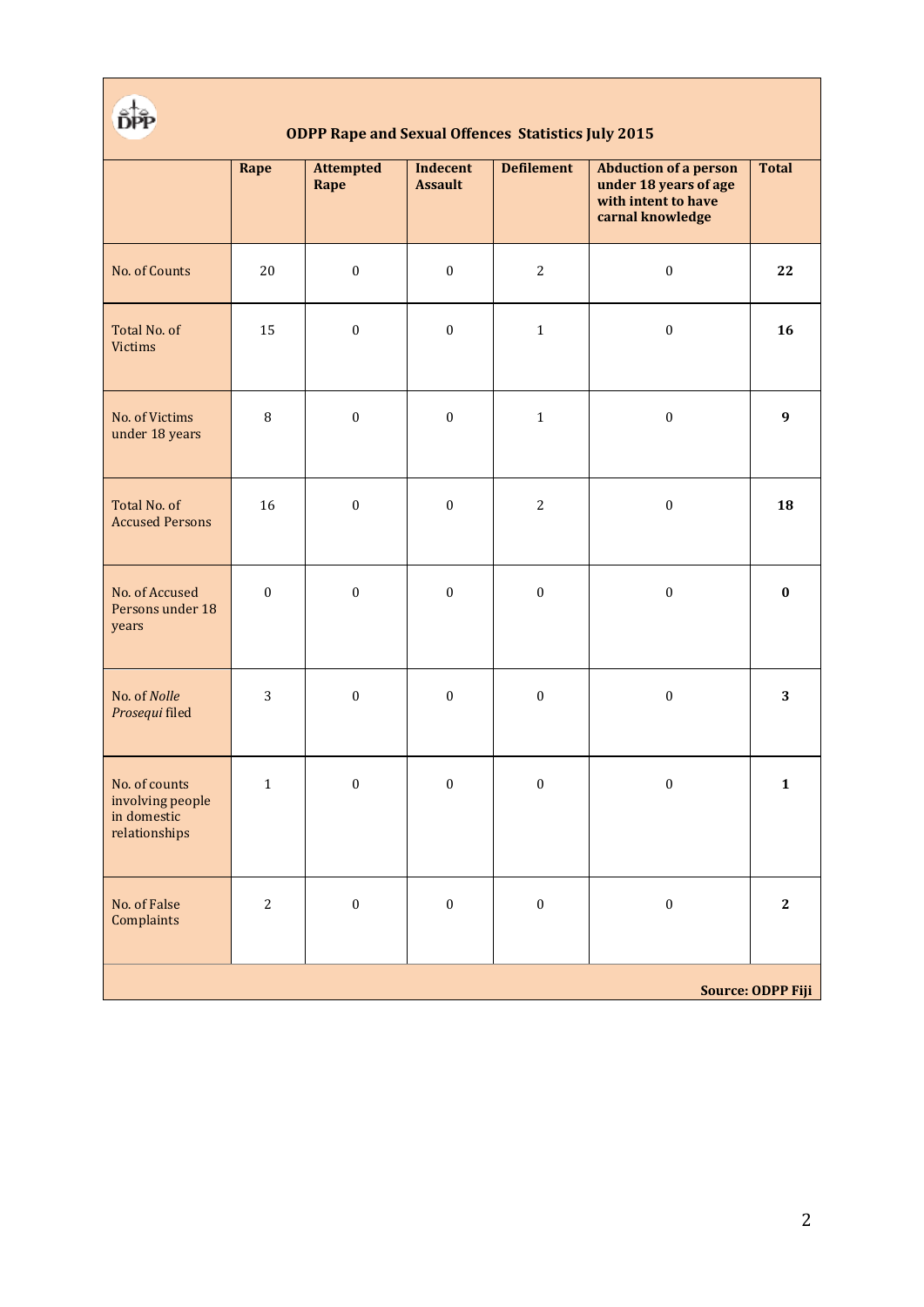

## **ODPP Rape and Sexual Offences Statistics July 2015**

|                                                                   | Rape             | <b>Attempted</b><br>Rape | Indecent<br><b>Assault</b> | <b>Defilement</b> | <b>Abduction of a person</b><br>under 18 years of age<br>with intent to have<br>carnal knowledge | <b>Total</b> |
|-------------------------------------------------------------------|------------------|--------------------------|----------------------------|-------------------|--------------------------------------------------------------------------------------------------|--------------|
| No. of Counts                                                     | 20               | $\boldsymbol{0}$         | $\boldsymbol{0}$           | $\overline{2}$    | $\boldsymbol{0}$                                                                                 | 22           |
| Total No. of<br><b>Victims</b>                                    | 15               | $\boldsymbol{0}$         | $\boldsymbol{0}$           | $\mathbf 1$       | $\boldsymbol{0}$                                                                                 | 16           |
| No. of Victims<br>under 18 years                                  | $\, 8$           | $\boldsymbol{0}$         | $\boldsymbol{0}$           | $\mathbf 1$       | $\boldsymbol{0}$                                                                                 | 9            |
| Total No. of<br><b>Accused Persons</b>                            | 16               | $\boldsymbol{0}$         | $\boldsymbol{0}$           | $\sqrt{2}$        | $\boldsymbol{0}$                                                                                 | 18           |
| No. of Accused<br>Persons under 18<br>years                       | $\boldsymbol{0}$ | $\boldsymbol{0}$         | $\boldsymbol{0}$           | $\boldsymbol{0}$  | $\boldsymbol{0}$                                                                                 | $\bf{0}$     |
| No. of Nolle<br>Prosequi filed                                    | 3                | $\boldsymbol{0}$         | $\boldsymbol{0}$           | $\boldsymbol{0}$  | $\boldsymbol{0}$                                                                                 | 3            |
| No. of counts<br>involving people<br>in domestic<br>relationships | $\mathbf{1}$     | $\boldsymbol{0}$         | $\boldsymbol{0}$           | $\boldsymbol{0}$  | $\boldsymbol{0}$                                                                                 | $\mathbf{1}$ |
| No. of False<br>Complaints                                        | $\sqrt{2}$       | $\boldsymbol{0}$         | $\boldsymbol{0}$           | $\boldsymbol{0}$  | $\boldsymbol{0}$                                                                                 | $\bf 2$      |
| <b>Source: ODPP Fiji</b>                                          |                  |                          |                            |                   |                                                                                                  |              |